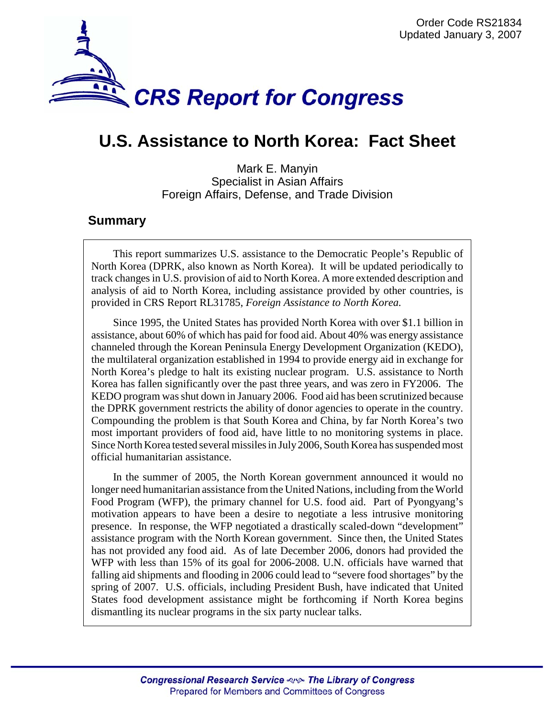

# **U.S. Assistance to North Korea: Fact Sheet**

Mark E. Manyin Specialist in Asian Affairs Foreign Affairs, Defense, and Trade Division

## **Summary**

This report summarizes U.S. assistance to the Democratic People's Republic of North Korea (DPRK, also known as North Korea). It will be updated periodically to track changes in U.S. provision of aid to North Korea. A more extended description and analysis of aid to North Korea, including assistance provided by other countries, is provided in CRS Report RL31785, *Foreign Assistance to North Korea.*

Since 1995, the United States has provided North Korea with over \$1.1 billion in assistance, about 60% of which has paid for food aid. About 40% was energy assistance channeled through the Korean Peninsula Energy Development Organization (KEDO), the multilateral organization established in 1994 to provide energy aid in exchange for North Korea's pledge to halt its existing nuclear program. U.S. assistance to North Korea has fallen significantly over the past three years, and was zero in FY2006. The KEDO program was shut down in January 2006. Food aid has been scrutinized because the DPRK government restricts the ability of donor agencies to operate in the country. Compounding the problem is that South Korea and China, by far North Korea's two most important providers of food aid, have little to no monitoring systems in place. Since North Korea tested several missiles in July 2006, South Korea has suspended most official humanitarian assistance.

In the summer of 2005, the North Korean government announced it would no longer need humanitarian assistance from the United Nations, including from the World Food Program (WFP), the primary channel for U.S. food aid. Part of Pyongyang's motivation appears to have been a desire to negotiate a less intrusive monitoring presence. In response, the WFP negotiated a drastically scaled-down "development" assistance program with the North Korean government. Since then, the United States has not provided any food aid. As of late December 2006, donors had provided the WFP with less than 15% of its goal for 2006-2008. U.N. officials have warned that falling aid shipments and flooding in 2006 could lead to "severe food shortages" by the spring of 2007. U.S. officials, including President Bush, have indicated that United States food development assistance might be forthcoming if North Korea begins dismantling its nuclear programs in the six party nuclear talks.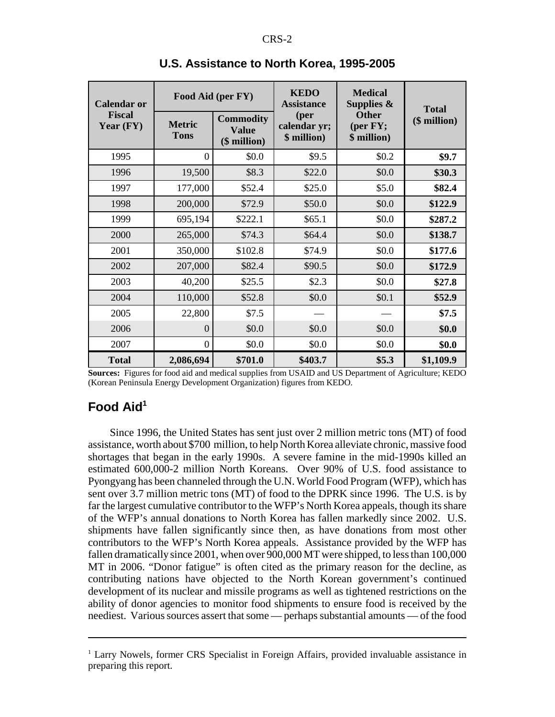| <b>Calendar or</b><br><b>Fiscal</b><br>Year $(FY)$ | Food Aid (per FY)            |                                                  | <b>KEDO</b><br><b>Assistance</b>    | <b>Medical</b><br>Supplies $\&$                 | <b>Total</b> |
|----------------------------------------------------|------------------------------|--------------------------------------------------|-------------------------------------|-------------------------------------------------|--------------|
|                                                    | <b>Metric</b><br><b>Tons</b> | <b>Commodity</b><br><b>Value</b><br>(\$ million) | (per<br>calendar yr;<br>\$ million) | <b>Other</b><br>( <b>per</b> FY;<br>\$ million) | (\$ million) |
| 1995                                               | $\theta$                     | \$0.0                                            | \$9.5                               | \$0.2\$                                         | \$9.7        |
| 1996                                               | 19,500                       | \$8.3                                            | \$22.0                              | \$0.0                                           | \$30.3       |
| 1997                                               | 177,000                      | \$52.4                                           | \$25.0                              | \$5.0                                           | \$82.4       |
| 1998                                               | 200,000                      | \$72.9                                           | \$50.0                              | \$0.0                                           | \$122.9      |
| 1999                                               | 695,194                      | \$222.1                                          | \$65.1                              | \$0.0                                           | \$287.2      |
| 2000                                               | 265,000                      | \$74.3                                           | \$64.4                              | \$0.0                                           | \$138.7      |
| 2001                                               | 350,000                      | \$102.8                                          | \$74.9                              | \$0.0                                           | \$177.6      |
| 2002                                               | 207,000                      | \$82.4                                           | \$90.5                              | \$0.0                                           | \$172.9      |
| 2003                                               | 40,200                       | \$25.5                                           | \$2.3                               | \$0.0                                           | \$27.8       |
| 2004                                               | 110,000                      | \$52.8                                           | \$0.0                               | \$0.1                                           | \$52.9       |
| 2005                                               | 22,800                       | \$7.5                                            |                                     |                                                 | \$7.5        |
| 2006                                               | $\Omega$                     | \$0.0                                            | \$0.0                               | \$0.0                                           | \$0.0        |
| 2007                                               | $\boldsymbol{0}$             | \$0.0                                            | \$0.0                               | \$0.0                                           | \$0.0        |
| <b>Total</b>                                       | 2,086,694                    | \$701.0                                          | \$403.7                             | \$5.3\$                                         | \$1,109.9    |

#### **U.S. Assistance to North Korea, 1995-2005**

**Sources:** Figures for food aid and medical supplies from USAID and US Department of Agriculture; KEDO (Korean Peninsula Energy Development Organization) figures from KEDO.

# **Food Aid1**

Since 1996, the United States has sent just over 2 million metric tons (MT) of food assistance, worth about \$700 million, to help North Korea alleviate chronic, massive food shortages that began in the early 1990s. A severe famine in the mid-1990s killed an estimated 600,000-2 million North Koreans. Over 90% of U.S. food assistance to Pyongyang has been channeled through the U.N. World Food Program (WFP), which has sent over 3.7 million metric tons (MT) of food to the DPRK since 1996. The U.S. is by far the largest cumulative contributor to the WFP's North Korea appeals, though its share of the WFP's annual donations to North Korea has fallen markedly since 2002. U.S. shipments have fallen significantly since then, as have donations from most other contributors to the WFP's North Korea appeals. Assistance provided by the WFP has fallen dramatically since 2001, when over 900,000 MT were shipped, to less than 100,000 MT in 2006. "Donor fatigue" is often cited as the primary reason for the decline, as contributing nations have objected to the North Korean government's continued development of its nuclear and missile programs as well as tightened restrictions on the ability of donor agencies to monitor food shipments to ensure food is received by the neediest. Various sources assert that some — perhaps substantial amounts — of the food

<sup>&</sup>lt;sup>1</sup> Larry Nowels, former CRS Specialist in Foreign Affairs, provided invaluable assistance in preparing this report.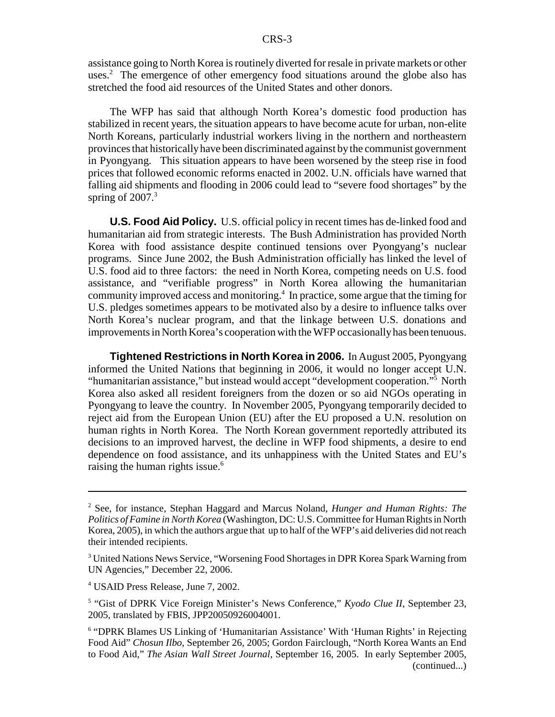assistance going to North Korea is routinely diverted for resale in private markets or other uses.<sup>2</sup> The emergence of other emergency food situations around the globe also has stretched the food aid resources of the United States and other donors.

The WFP has said that although North Korea's domestic food production has stabilized in recent years, the situation appears to have become acute for urban, non-elite North Koreans, particularly industrial workers living in the northern and northeastern provinces that historically have been discriminated against by the communist government in Pyongyang. This situation appears to have been worsened by the steep rise in food prices that followed economic reforms enacted in 2002. U.N. officials have warned that falling aid shipments and flooding in 2006 could lead to "severe food shortages" by the spring of  $2007<sup>3</sup>$ 

**U.S. Food Aid Policy.** U.S. official policy in recent times has de-linked food and humanitarian aid from strategic interests. The Bush Administration has provided North Korea with food assistance despite continued tensions over Pyongyang's nuclear programs. Since June 2002, the Bush Administration officially has linked the level of U.S. food aid to three factors: the need in North Korea, competing needs on U.S. food assistance, and "verifiable progress" in North Korea allowing the humanitarian community improved access and monitoring.4 In practice, some argue that the timing for U.S. pledges sometimes appears to be motivated also by a desire to influence talks over North Korea's nuclear program, and that the linkage between U.S. donations and improvements in North Korea's cooperation with the WFP occasionally has been tenuous.

**Tightened Restrictions in North Korea in 2006.** In August 2005, Pyongyang informed the United Nations that beginning in 2006, it would no longer accept U.N. "humanitarian assistance," but instead would accept "development cooperation."<sup>5</sup> North Korea also asked all resident foreigners from the dozen or so aid NGOs operating in Pyongyang to leave the country. In November 2005, Pyongyang temporarily decided to reject aid from the European Union (EU) after the EU proposed a U.N. resolution on human rights in North Korea. The North Korean government reportedly attributed its decisions to an improved harvest, the decline in WFP food shipments, a desire to end dependence on food assistance, and its unhappiness with the United States and EU's raising the human rights issue.<sup>6</sup>

4 USAID Press Release, June 7, 2002.

<sup>5</sup> "Gist of DPRK Vice Foreign Minister's News Conference," Kyodo Clue II, September 23, 2005, translated by FBIS, JPP20050926004001.

<sup>2</sup> See, for instance, Stephan Haggard and Marcus Noland, *Hunger and Human Rights: The Politics of Famine in North Korea* (Washington, DC: U.S. Committee for Human Rights in North Korea, 2005), in which the authors argue that up to half of the WFP's aid deliveries did not reach their intended recipients.

<sup>&</sup>lt;sup>3</sup> United Nations News Service, "Worsening Food Shortages in DPR Korea Spark Warning from UN Agencies," December 22, 2006.

<sup>&</sup>lt;sup>6</sup> "DPRK Blames US Linking of 'Humanitarian Assistance' With 'Human Rights' in Rejecting Food Aid" *Chosun Ilbo*, September 26, 2005; Gordon Fairclough, "North Korea Wants an End to Food Aid," *The Asian Wall Street Journal*, September 16, 2005. In early September 2005, (continued...)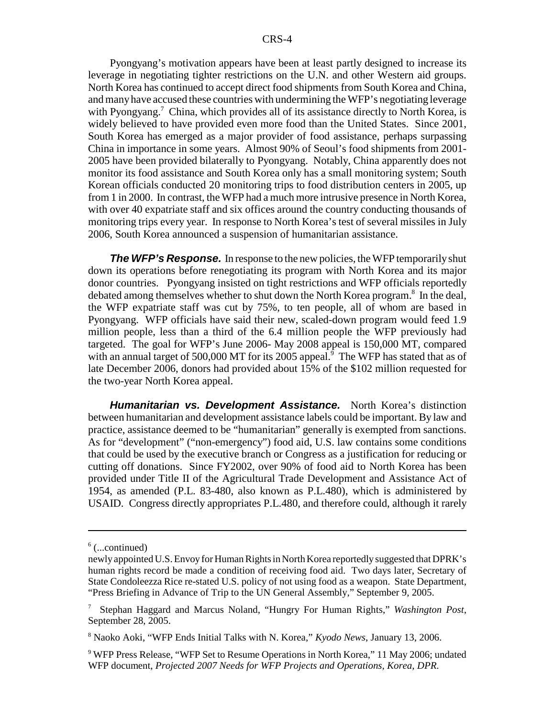Pyongyang's motivation appears have been at least partly designed to increase its leverage in negotiating tighter restrictions on the U.N. and other Western aid groups. North Korea has continued to accept direct food shipments from South Korea and China, and many have accused these countries with undermining the WFP's negotiating leverage with Pyongyang.<sup>7</sup> China, which provides all of its assistance directly to North Korea, is widely believed to have provided even more food than the United States. Since 2001, South Korea has emerged as a major provider of food assistance, perhaps surpassing China in importance in some years. Almost 90% of Seoul's food shipments from 2001- 2005 have been provided bilaterally to Pyongyang. Notably, China apparently does not monitor its food assistance and South Korea only has a small monitoring system; South Korean officials conducted 20 monitoring trips to food distribution centers in 2005, up from 1 in 2000. In contrast, the WFP had a much more intrusive presence in North Korea, with over 40 expatriate staff and six offices around the country conducting thousands of monitoring trips every year. In response to North Korea's test of several missiles in July 2006, South Korea announced a suspension of humanitarian assistance.

**The WFP's Response.** In response to the new policies, the WFP temporarily shut down its operations before renegotiating its program with North Korea and its major donor countries. Pyongyang insisted on tight restrictions and WFP officials reportedly debated among themselves whether to shut down the North Korea program.<sup>8</sup> In the deal, the WFP expatriate staff was cut by 75%, to ten people, all of whom are based in Pyongyang. WFP officials have said their new, scaled-down program would feed 1.9 million people, less than a third of the 6.4 million people the WFP previously had targeted. The goal for WFP's June 2006- May 2008 appeal is 150,000 MT, compared with an annual target of 500,000 MT for its 2005 appeal.<sup>9</sup> The WFP has stated that as of late December 2006, donors had provided about 15% of the \$102 million requested for the two-year North Korea appeal.

*Humanitarian vs. Development Assistance.* North Korea's distinction between humanitarian and development assistance labels could be important. By law and practice, assistance deemed to be "humanitarian" generally is exempted from sanctions. As for "development" ("non-emergency") food aid, U.S. law contains some conditions that could be used by the executive branch or Congress as a justification for reducing or cutting off donations. Since FY2002, over 90% of food aid to North Korea has been provided under Title II of the Agricultural Trade Development and Assistance Act of 1954, as amended (P.L. 83-480, also known as P.L.480), which is administered by USAID. Congress directly appropriates P.L.480, and therefore could, although it rarely

 $6$  (...continued)

newly appointed U.S. Envoy for Human Rights in North Korea reportedly suggested that DPRK's human rights record be made a condition of receiving food aid. Two days later, Secretary of State Condoleezza Rice re-stated U.S. policy of not using food as a weapon. State Department, "Press Briefing in Advance of Trip to the UN General Assembly," September 9, 2005.

<sup>7</sup> Stephan Haggard and Marcus Noland, "Hungry For Human Rights," *Washington Post*, September 28, 2005.

<sup>8</sup> Naoko Aoki, "WFP Ends Initial Talks with N. Korea," *Kyodo News*, January 13, 2006.

<sup>&</sup>lt;sup>9</sup> WFP Press Release, "WFP Set to Resume Operations in North Korea," 11 May 2006; undated WFP document, *Projected 2007 Needs for WFP Projects and Operations, Korea, DPR*.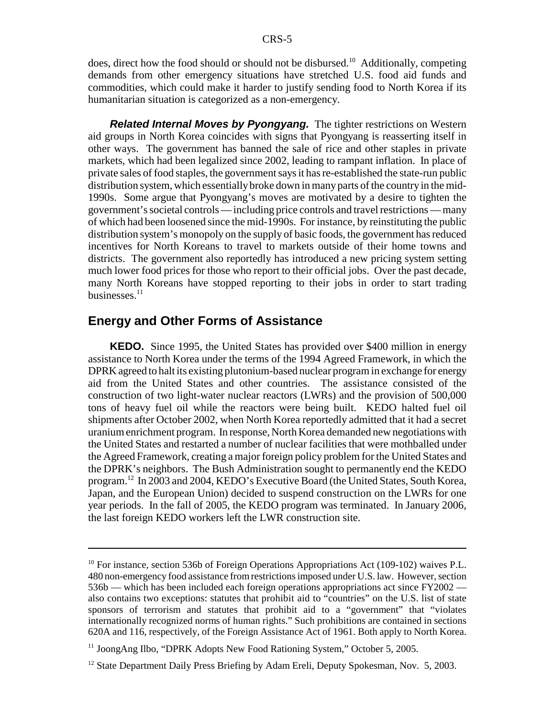does, direct how the food should or should not be disbursed.<sup>10</sup> Additionally, competing demands from other emergency situations have stretched U.S. food aid funds and commodities, which could make it harder to justify sending food to North Korea if its humanitarian situation is categorized as a non-emergency.

*Related Internal Moves by Pyongyang.* The tighter restrictions on Western aid groups in North Korea coincides with signs that Pyongyang is reasserting itself in other ways. The government has banned the sale of rice and other staples in private markets, which had been legalized since 2002, leading to rampant inflation. In place of private sales of food staples, the government says it has re-established the state-run public distribution system, which essentially broke down in many parts of the country in the mid-1990s. Some argue that Pyongyang's moves are motivated by a desire to tighten the government's societal controls — including price controls and travel restrictions — many of which had been loosened since the mid-1990s. For instance, by reinstituting the public distribution system's monopoly on the supply of basic foods, the government has reduced incentives for North Koreans to travel to markets outside of their home towns and districts. The government also reportedly has introduced a new pricing system setting much lower food prices for those who report to their official jobs. Over the past decade, many North Koreans have stopped reporting to their jobs in order to start trading businesses.<sup>11</sup>

## **Energy and Other Forms of Assistance**

**KEDO.** Since 1995, the United States has provided over \$400 million in energy assistance to North Korea under the terms of the 1994 Agreed Framework, in which the DPRK agreed to halt its existing plutonium-based nuclear program in exchange for energy aid from the United States and other countries. The assistance consisted of the construction of two light-water nuclear reactors (LWRs) and the provision of 500,000 tons of heavy fuel oil while the reactors were being built. KEDO halted fuel oil shipments after October 2002, when North Korea reportedly admitted that it had a secret uranium enrichment program. In response, North Korea demanded new negotiations with the United States and restarted a number of nuclear facilities that were mothballed under the Agreed Framework, creating a major foreign policy problem for the United States and the DPRK's neighbors. The Bush Administration sought to permanently end the KEDO program.12 In 2003 and 2004, KEDO's Executive Board (the United States, South Korea, Japan, and the European Union) decided to suspend construction on the LWRs for one year periods. In the fall of 2005, the KEDO program was terminated. In January 2006, the last foreign KEDO workers left the LWR construction site.

<sup>&</sup>lt;sup>10</sup> For instance, section 536b of Foreign Operations Appropriations Act (109-102) waives P.L. 480 non-emergency food assistance from restrictions imposed under U.S. law. However, section 536b — which has been included each foreign operations appropriations act since FY2002 also contains two exceptions: statutes that prohibit aid to "countries" on the U.S. list of state sponsors of terrorism and statutes that prohibit aid to a "government" that "violates internationally recognized norms of human rights." Such prohibitions are contained in sections 620A and 116, respectively, of the Foreign Assistance Act of 1961. Both apply to North Korea.

<sup>&</sup>lt;sup>11</sup> JoongAng Ilbo, "DPRK Adopts New Food Rationing System," October 5, 2005.

<sup>&</sup>lt;sup>12</sup> State Department Daily Press Briefing by Adam Ereli, Deputy Spokesman, Nov. 5, 2003.